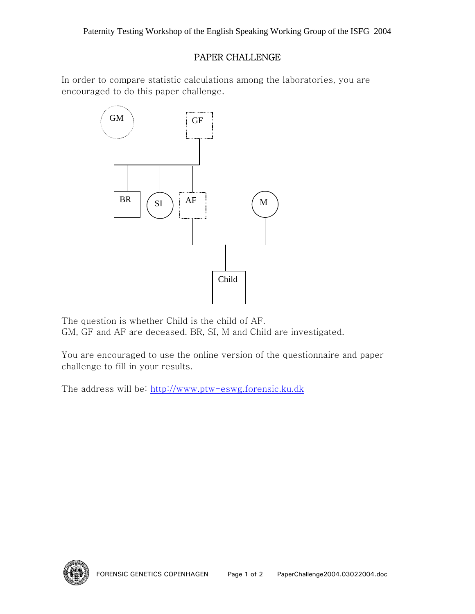## PAPER CHALLENGE

In order to compare statistic calculations among the laboratories, you are encouraged to do this paper challenge.



The question is whether Child is the child of AF. GM, GF and AF are deceased. BR, SI, M and Child are investigated.

You are encouraged to use the online version of the questionnaire and paper challenge to fill in your results.

The address will be: http://www.ptw-eswg.forensic.ku.dk